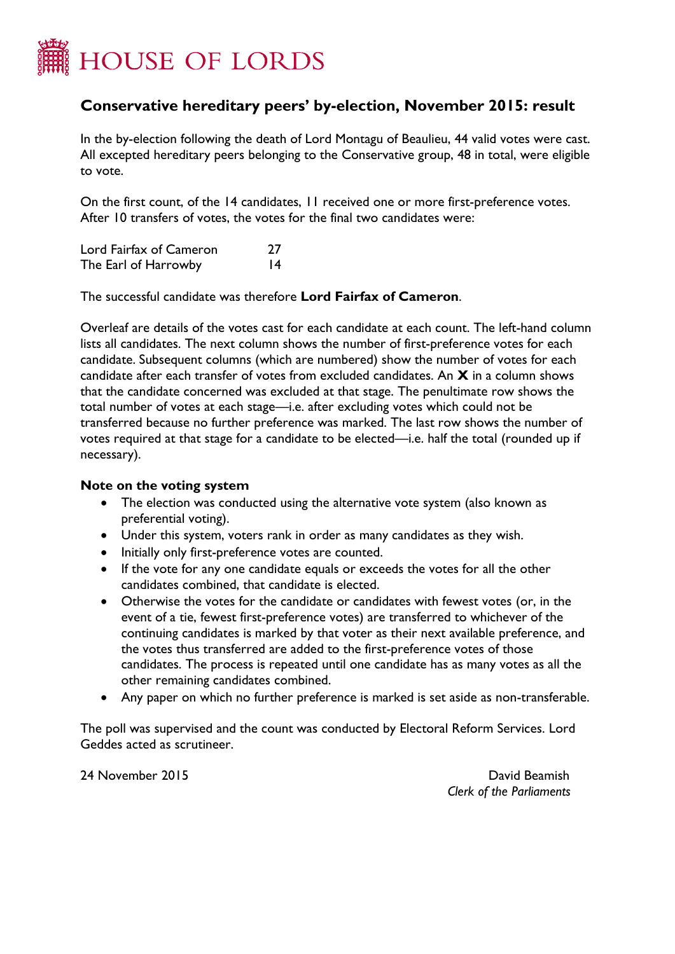

## **Conservative hereditary peers' by-election, November 2015: result**

In the by-election following the death of Lord Montagu of Beaulieu, 44 valid votes were cast. All excepted hereditary peers belonging to the Conservative group, 48 in total, were eligible to vote.

On the first count, of the 14 candidates, 11 received one or more first-preference votes. After 10 transfers of votes, the votes for the final two candidates were:

Lord Fairfax of Cameron 27 The Earl of Harrowby 14

The successful candidate was therefore **Lord Fairfax of Cameron**.

Overleaf are details of the votes cast for each candidate at each count. The left-hand column lists all candidates. The next column shows the number of first-preference votes for each candidate. Subsequent columns (which are numbered) show the number of votes for each candidate after each transfer of votes from excluded candidates. An **X** in a column shows that the candidate concerned was excluded at that stage. The penultimate row shows the total number of votes at each stage—i.e. after excluding votes which could not be transferred because no further preference was marked. The last row shows the number of votes required at that stage for a candidate to be elected—i.e. half the total (rounded up if necessary).

## **Note on the voting system**

- The election was conducted using the alternative vote system (also known as preferential voting).
- Under this system, voters rank in order as many candidates as they wish.
- Initially only first-preference votes are counted.
- If the vote for any one candidate equals or exceeds the votes for all the other candidates combined, that candidate is elected.
- Otherwise the votes for the candidate or candidates with fewest votes (or, in the event of a tie, fewest first-preference votes) are transferred to whichever of the continuing candidates is marked by that voter as their next available preference, and the votes thus transferred are added to the first-preference votes of those candidates. The process is repeated until one candidate has as many votes as all the other remaining candidates combined.
- Any paper on which no further preference is marked is set aside as non-transferable.

The poll was supervised and the count was conducted by Electoral Reform Services. Lord Geddes acted as scrutineer.

24 November 2015 David Beamish

*Clerk of the Parliaments*